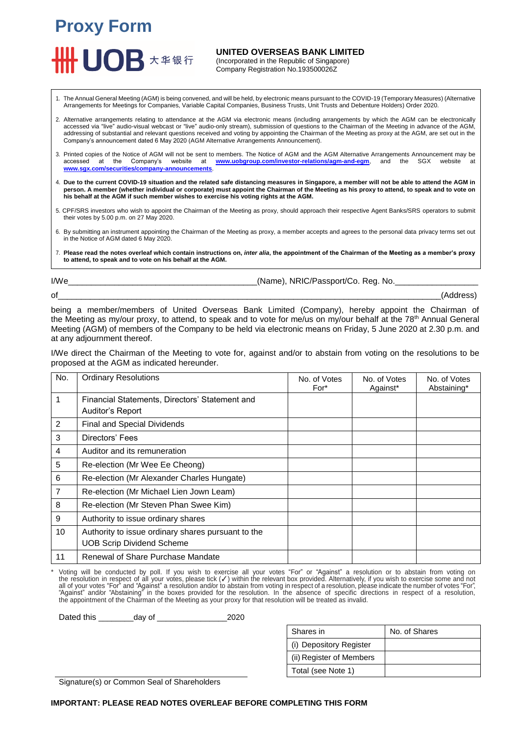

**UNITED OVERSEAS BANK LIMITED**

(Incorporated in the Republic of Singapore) Company Registration No.193500026Z

1. The Annual General Meeting (AGM) is being convened, and will be held, by electronic means pursuant to the COVID-19 (Temporary Measures) (Alternative Arrangements for Meetings for Companies, Variable Capital Companies, Business Trusts, Unit Trusts and Debenture Holders) Order 2020.

- 2. Alternative arrangements relating to attendance at the AGM via electronic means (including arrangements by which the AGM can be electronically accessed via "live" audio-visual webcast or "live" audio-only stream), submission of questions to the Chairman of the Meeting in advance of the AGM, addressing of substantial and relevant questions received and voting by appointing the Chairman of the Meeting as proxy at the AGM, are set out in the Company's announcement dated 6 May 2020 (AGM Alternative Arrangements Announcement).
- 3. Printed copies of the Notice of AGM will not be sent to members. The Notice of AGM and the AGM Alternative Arrangements Announcement may be accessed at the Company's website at **[www.uobgroup.com/investor-relations/agm-and-egm](http://www.uobgroup.com/investor-relations/agm-and-egm)**, and the SGX website at **[www.sgx.com/securities/company-announcements](http://www.sgx.com/securities/company-announcements)**.
- 4. **Due to the current COVID-19 situation and the related safe distancing measures in Singapore, a member will not be able to attend the AGM in person. A member (whether individual or corporate) must appoint the Chairman of the Meeting as his proxy to attend, to speak and to vote on his behalf at the AGM if such member wishes to exercise his voting rights at the AGM.**
- 5. CPF/SRS investors who wish to appoint the Chairman of the Meeting as proxy, should approach their respective Agent Banks/SRS operators to submit their votes by 5.00 p.m. on 27 May 2020.
- 6. By submitting an instrument appointing the Chairman of the Meeting as proxy, a member accepts and agrees to the personal data privacy terms set out in the Notice of AGM dated 6 May 2020.
- 7. **Please read the notes overleaf which contain instructions on,** *inter alia***, the appointment of the Chairman of the Meeting as a member's proxy to attend, to speak and to vote on his behalf at the AGM.**

I/We\_\_\_\_\_\_\_\_\_\_\_\_\_\_\_\_\_\_\_\_\_\_\_\_\_\_\_\_\_\_\_\_\_\_\_\_\_\_\_\_\_(Name), NRIC/Passport/Co. Reg. No.\_\_\_\_\_\_\_\_\_\_\_\_\_\_\_\_\_\_

of\_\_\_\_\_\_\_\_\_\_\_\_\_\_\_\_\_\_\_\_\_\_\_\_\_\_\_\_\_\_\_\_\_\_\_\_\_\_\_\_\_\_\_\_\_\_\_\_\_\_\_\_\_\_\_\_\_\_\_\_\_\_\_\_\_\_\_\_\_\_\_\_\_\_\_\_\_\_\_\_\_\_\_(Address)

being a member/members of United Overseas Bank Limited (Company), hereby appoint the Chairman of the Meeting as my/our proxy, to attend, to speak and to vote for me/us on my/our behalf at the 78<sup>th</sup> Annual General Meeting (AGM) of members of the Company to be held via electronic means on Friday, 5 June 2020 at 2.30 p.m. and at any adjournment thereof.

I/We direct the Chairman of the Meeting to vote for, against and/or to abstain from voting on the resolutions to be proposed at the AGM as indicated hereunder.

| No.            | <b>Ordinary Resolutions</b>                        | No. of Votes<br>$For*$ | No. of Votes<br>Against* | No. of Votes<br>Abstaining* |
|----------------|----------------------------------------------------|------------------------|--------------------------|-----------------------------|
| 1              | Financial Statements, Directors' Statement and     |                        |                          |                             |
|                | Auditor's Report                                   |                        |                          |                             |
| $\overline{2}$ | Final and Special Dividends                        |                        |                          |                             |
| 3              | Directors' Fees                                    |                        |                          |                             |
| 4              | Auditor and its remuneration                       |                        |                          |                             |
| 5              | Re-election (Mr Wee Ee Cheong)                     |                        |                          |                             |
| 6              | Re-election (Mr Alexander Charles Hungate)         |                        |                          |                             |
| $\overline{7}$ | Re-election (Mr Michael Lien Jown Leam)            |                        |                          |                             |
| 8              | Re-election (Mr Steven Phan Swee Kim)              |                        |                          |                             |
| 9              | Authority to issue ordinary shares                 |                        |                          |                             |
| 10             | Authority to issue ordinary shares pursuant to the |                        |                          |                             |
|                | <b>UOB Scrip Dividend Scheme</b>                   |                        |                          |                             |
| 11             | Renewal of Share Purchase Mandate                  |                        |                          |                             |

\* Voting will be conducted by poll. If you wish to exercise all your votes "For" or "Against" a resolution or to abstain from voting on<br>the resolution in respect of all your votes, please tick (√) within the relevant box all of your votes "For" and "Against" a resolution and/or to abstain from voting in respect of a resolution, please indicate the number of votes "For",<br>"Against" and/or "Abstaining" in the boxes provided for the resolution the appointment of the Chairman of the Meeting as your proxy for that resolution will be treated as invalid.

Dated this \_\_\_\_\_\_\_\_day of \_\_\_\_\_\_\_\_\_\_\_\_\_\_\_\_2020

| Shares in                | No. of Shares |
|--------------------------|---------------|
| (i) Depository Register  |               |
| (ii) Register of Members |               |
| Total (see Note 1)       |               |

Signature(s) or Common Seal of Shareholders

## **IMPORTANT: PLEASE READ NOTES OVERLEAF BEFORE COMPLETING THIS FORM**